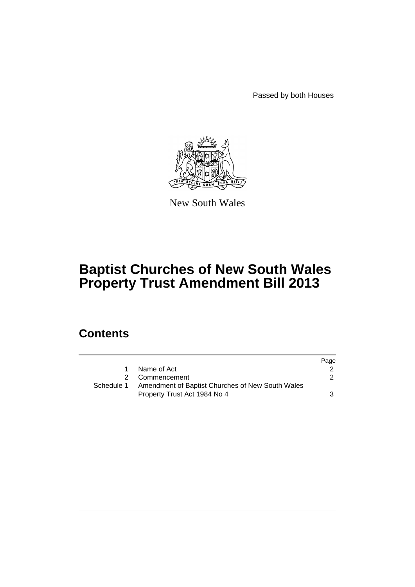Passed by both Houses



New South Wales

# **Baptist Churches of New South Wales Property Trust Amendment Bill 2013**

## **Contents**

|            |                                                  | Page |
|------------|--------------------------------------------------|------|
|            | Name of Act                                      |      |
|            | 2 Commencement                                   |      |
| Schedule 1 | Amendment of Baptist Churches of New South Wales |      |
|            | Property Trust Act 1984 No 4                     | 3    |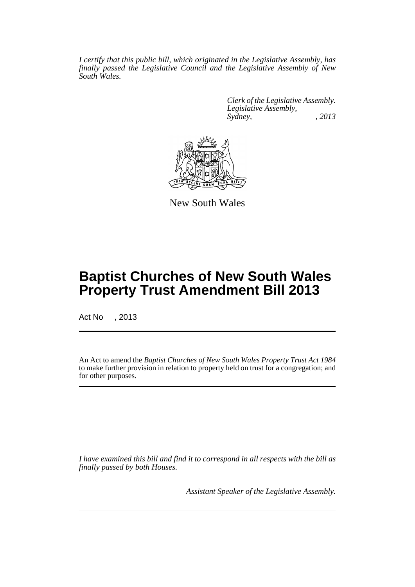*I certify that this public bill, which originated in the Legislative Assembly, has finally passed the Legislative Council and the Legislative Assembly of New South Wales.*

> *Clerk of the Legislative Assembly. Legislative Assembly, Sydney, , 2013*



New South Wales

## **Baptist Churches of New South Wales Property Trust Amendment Bill 2013**

Act No , 2013

An Act to amend the *Baptist Churches of New South Wales Property Trust Act 1984* to make further provision in relation to property held on trust for a congregation; and for other purposes.

*I have examined this bill and find it to correspond in all respects with the bill as finally passed by both Houses.*

*Assistant Speaker of the Legislative Assembly.*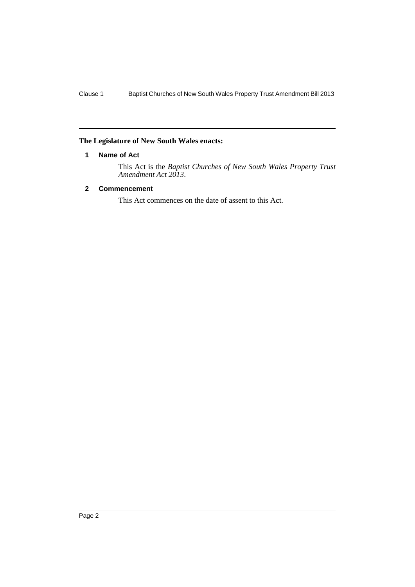## <span id="page-3-0"></span>**The Legislature of New South Wales enacts:**

#### **1 Name of Act**

This Act is the *Baptist Churches of New South Wales Property Trust Amendment Act 2013*.

## <span id="page-3-1"></span>**2 Commencement**

This Act commences on the date of assent to this Act.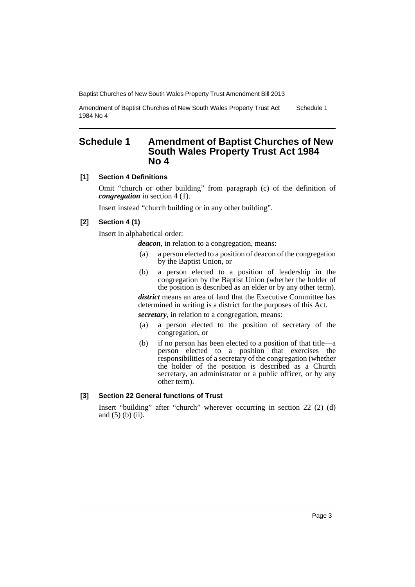Amendment of Baptist Churches of New South Wales Property Trust Act 1984 No 4 Schedule 1

## <span id="page-4-0"></span>**Schedule 1 Amendment of Baptist Churches of New South Wales Property Trust Act 1984 No 4**

## **[1] Section 4 Definitions**

Omit "church or other building" from paragraph (c) of the definition of *congregation* in section 4 (1).

Insert instead "church building or in any other building".

#### **[2] Section 4 (1)**

Insert in alphabetical order:

*deacon*, in relation to a congregation, means:

- (a) a person elected to a position of deacon of the congregation by the Baptist Union, or
- (b) a person elected to a position of leadership in the congregation by the Baptist Union (whether the holder of the position is described as an elder or by any other term).

*district* means an area of land that the Executive Committee has determined in writing is a district for the purposes of this Act.

*secretary*, in relation to a congregation, means:

- (a) a person elected to the position of secretary of the congregation, or
- (b) if no person has been elected to a position of that title—a person elected to a position that exercises the responsibilities of a secretary of the congregation (whether the holder of the position is described as a Church secretary, an administrator or a public officer, or by any other term).

#### **[3] Section 22 General functions of Trust**

Insert "building" after "church" wherever occurring in section 22 (2) (d) and (5) (b) (ii).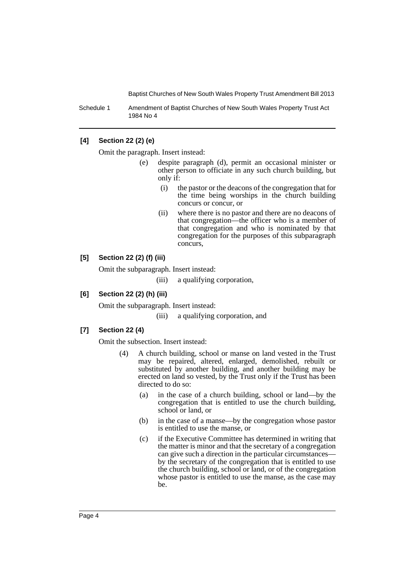Schedule 1 Amendment of Baptist Churches of New South Wales Property Trust Act 1984 No 4

#### **[4] Section 22 (2) (e)**

Omit the paragraph. Insert instead:

- (e) despite paragraph (d), permit an occasional minister or other person to officiate in any such church building, but only if:
	- (i) the pastor or the deacons of the congregation that for the time being worships in the church building concurs or concur, or
	- (ii) where there is no pastor and there are no deacons of that congregation—the officer who is a member of that congregation and who is nominated by that congregation for the purposes of this subparagraph concurs,

### **[5] Section 22 (2) (f) (iii)**

Omit the subparagraph. Insert instead:

(iii) a qualifying corporation,

### **[6] Section 22 (2) (h) (iii)**

Omit the subparagraph. Insert instead:

(iii) a qualifying corporation, and

#### **[7] Section 22 (4)**

Omit the subsection. Insert instead:

- (4) A church building, school or manse on land vested in the Trust may be repaired, altered, enlarged, demolished, rebuilt or substituted by another building, and another building may be erected on land so vested, by the Trust only if the Trust has been directed to do so:
	- (a) in the case of a church building, school or land—by the congregation that is entitled to use the church building, school or land, or
	- (b) in the case of a manse—by the congregation whose pastor is entitled to use the manse, or
	- (c) if the Executive Committee has determined in writing that the matter is minor and that the secretary of a congregation can give such a direction in the particular circumstances by the secretary of the congregation that is entitled to use the church building, school or land, or of the congregation whose pastor is entitled to use the manse, as the case may be.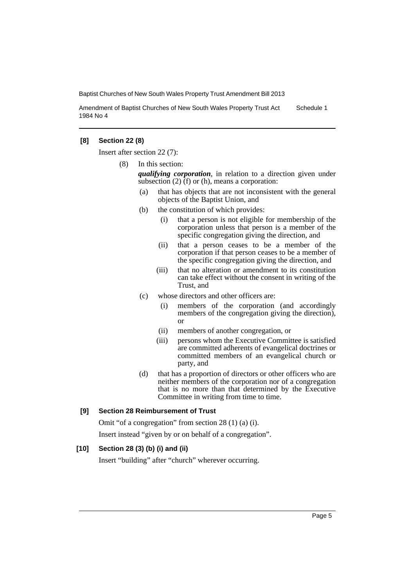Amendment of Baptist Churches of New South Wales Property Trust Act 1984 No 4 Schedule 1

#### **[8] Section 22 (8)**

Insert after section 22 (7):

(8) In this section:

*qualifying corporation*, in relation to a direction given under subsection (2) (f) or (h), means a corporation:

- (a) that has objects that are not inconsistent with the general objects of the Baptist Union, and
- (b) the constitution of which provides:
	- (i) that a person is not eligible for membership of the corporation unless that person is a member of the specific congregation giving the direction, and
	- (ii) that a person ceases to be a member of the corporation if that person ceases to be a member of the specific congregation giving the direction, and
	- (iii) that no alteration or amendment to its constitution can take effect without the consent in writing of the Trust, and
- (c) whose directors and other officers are:
	- (i) members of the corporation (and accordingly members of the congregation giving the direction), or
	- (ii) members of another congregation, or
	- (iii) persons whom the Executive Committee is satisfied are committed adherents of evangelical doctrines or committed members of an evangelical church or party, and
- (d) that has a proportion of directors or other officers who are neither members of the corporation nor of a congregation that is no more than that determined by the Executive Committee in writing from time to time.

#### **[9] Section 28 Reimbursement of Trust**

Omit "of a congregation" from section 28 (1) (a) (i). Insert instead "given by or on behalf of a congregation".

#### **[10] Section 28 (3) (b) (i) and (ii)**

Insert "building" after "church" wherever occurring.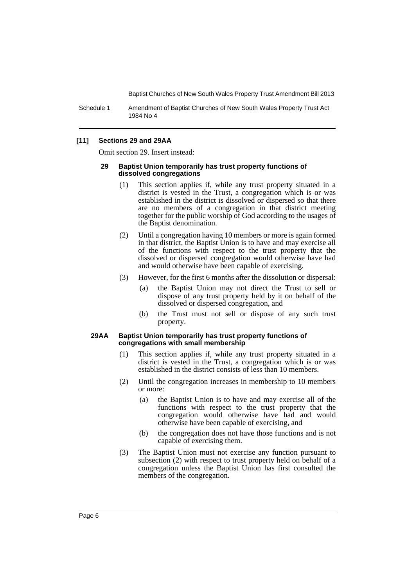Schedule 1 Amendment of Baptist Churches of New South Wales Property Trust Act 1984 No 4

#### **[11] Sections 29 and 29AA**

Omit section 29. Insert instead:

#### **29 Baptist Union temporarily has trust property functions of dissolved congregations**

- (1) This section applies if, while any trust property situated in a district is vested in the Trust, a congregation which is or was established in the district is dissolved or dispersed so that there are no members of a congregation in that district meeting together for the public worship of God according to the usages of the Baptist denomination.
- (2) Until a congregation having 10 members or more is again formed in that district, the Baptist Union is to have and may exercise all of the functions with respect to the trust property that the dissolved or dispersed congregation would otherwise have had and would otherwise have been capable of exercising.
- (3) However, for the first 6 months after the dissolution or dispersal:
	- (a) the Baptist Union may not direct the Trust to sell or dispose of any trust property held by it on behalf of the dissolved or dispersed congregation, and
	- (b) the Trust must not sell or dispose of any such trust property.

#### **29AA Baptist Union temporarily has trust property functions of congregations with small membership**

- (1) This section applies if, while any trust property situated in a district is vested in the Trust, a congregation which is or was established in the district consists of less than 10 members.
- (2) Until the congregation increases in membership to 10 members or more:
	- (a) the Baptist Union is to have and may exercise all of the functions with respect to the trust property that the congregation would otherwise have had and would otherwise have been capable of exercising, and
	- (b) the congregation does not have those functions and is not capable of exercising them.
- (3) The Baptist Union must not exercise any function pursuant to subsection (2) with respect to trust property held on behalf of a congregation unless the Baptist Union has first consulted the members of the congregation.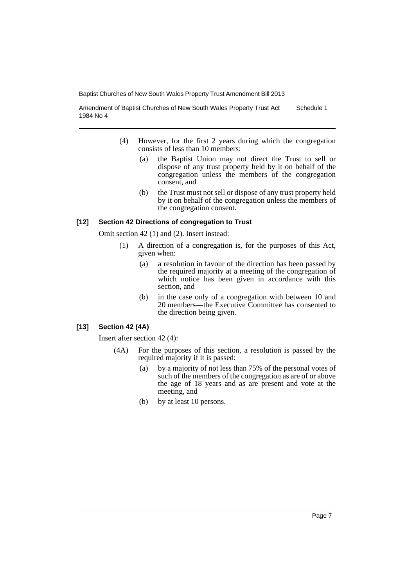Amendment of Baptist Churches of New South Wales Property Trust Act 1984 No 4 Schedule 1

- (4) However, for the first 2 years during which the congregation consists of less than 10 members:
	- (a) the Baptist Union may not direct the Trust to sell or dispose of any trust property held by it on behalf of the congregation unless the members of the congregation consent, and
	- (b) the Trust must not sell or dispose of any trust property held by it on behalf of the congregation unless the members of the congregation consent.

#### **[12] Section 42 Directions of congregation to Trust**

Omit section 42 (1) and (2). Insert instead:

- (1) A direction of a congregation is, for the purposes of this Act, given when:
	- (a) a resolution in favour of the direction has been passed by the required majority at a meeting of the congregation of which notice has been given in accordance with this section, and
	- (b) in the case only of a congregation with between 10 and 20 members—the Executive Committee has consented to the direction being given.

#### **[13] Section 42 (4A)**

Insert after section 42 (4):

- (4A) For the purposes of this section, a resolution is passed by the required majority if it is passed:
	- (a) by a majority of not less than 75% of the personal votes of such of the members of the congregation as are of or above the age of 18 years and as are present and vote at the meeting, and
	- (b) by at least 10 persons.